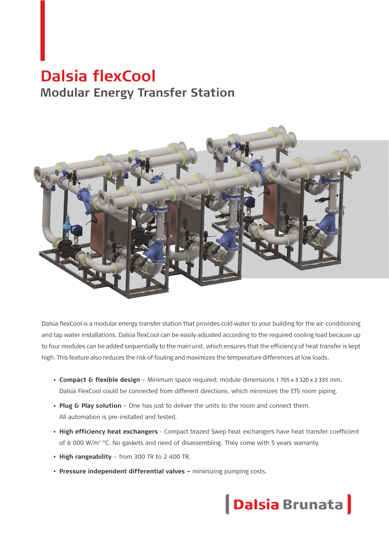# **Dalsia flexCool Modular Energy Transfer Station**



Dalsia flexCool is a modular energy transfer station that provides cold water to your building for the air-conditioning and tap water installations. Dalsia flexCool can be easily adjusted according to the required cooling load because up to four modules can be added sequentially to the main unit, which ensures that the efficiency of heat transfer is kept high. This feature also reduces the risk of fouling and maximizes the temperature differences at low loads.

- **Compact & flexible design** Minimum space required; module dimensions 1 705 x 3 320 x 2 335 mm. Dalsia FlexCool could be connected from different directions, which minimizes the ETS room piping.
- Plug & Play solution One has just to deliver the units to the room and connect them. All automation is pre-installed and tested.
- **High efficiency heat exchangers**  Compact brazed Swep heat exchangers have heat transfer coefficient of 6 000 W/m<sup>2</sup> °C. No gaskets and need of disassembling. They come with 5 years warranty.
- High rangeability from 300 TR to 2 400 TR.
- **Pressure independent differential valves minimizing pumping costs.**

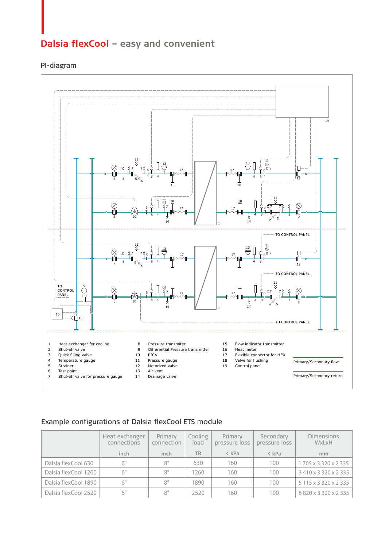## **Dalsia flexCool** - easy and convenient

#### PI-diagram



#### Example configurations of Dalsia flexCool ETS module

|                      | Heat exchanger<br>connections | Primary<br>connection | Cooling<br>load | Primary<br>pressure loss | Secondary<br>pressure loss | <b>Dimensions</b><br>WxLxH |
|----------------------|-------------------------------|-----------------------|-----------------|--------------------------|----------------------------|----------------------------|
|                      | inch                          | inch                  | <b>TR</b>       | < kPa                    | $\langle$ kPa              | mm                         |
| Dalsia flexCool 630  | 6"                            | 8"                    | 630             | 160                      | 100                        | 1705 x 3320 x 2335         |
| Dalsia flexCool 1260 | 6"                            | 8"                    | 1260            | 160                      | 100                        | 3410 x 3320 x 2335         |
| Dalsia flexCool 1890 | 6"                            | 8"                    | 1890            | 160                      | 100                        | 5 115 x 3 320 x 2 335      |
| Dalsia flexCool 2520 | 6"                            | 8"                    | 2520            | 160                      | 100                        | 6820 x 3 320 x 2 335       |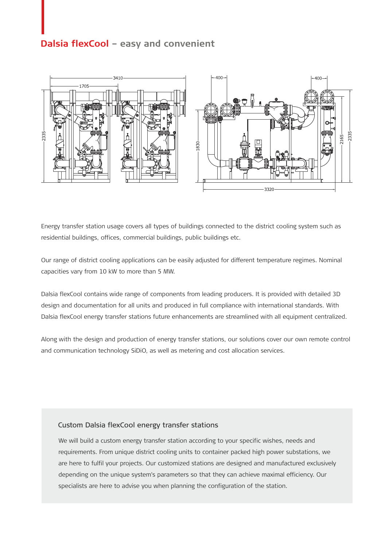## **Dalsia flexCool - easy and convenient**



Energy transfer station usage covers all types of buildings connected to the district cooling system such as residential buildings, offices, commercial buildings, public buildings etc.

Our range of district cooling applications can be easily adjusted for different temperature regimes. Nominal capacities vary from 10 kW to more than 5 MW.

Dalsia flexCool contains wide range of components from leading producers. It is provided with detailed 3D design and documentation for all units and produced in full compliance with international standards. With Dalsia flexCool energy transfer stations future enhancements are streamlined with all equipment centralized.

Along with the design and production of energy transfer stations, our solutions cover our own remote control and communication technology SiDiO, as well as metering and cost allocation services.

#### Custom Dalsia flexCool energy transfer stations

We will build a custom energy transfer station according to your specific wishes, needs and requirements. From unique district cooling units to container packed high power substations, we are here to fulfil your projects. Our customized stations are designed and manufactured exclusively depending on the unique system's parameters so that they can achieve maximal efficiency. Our specialists are here to advise you when planning the configuration of the station.